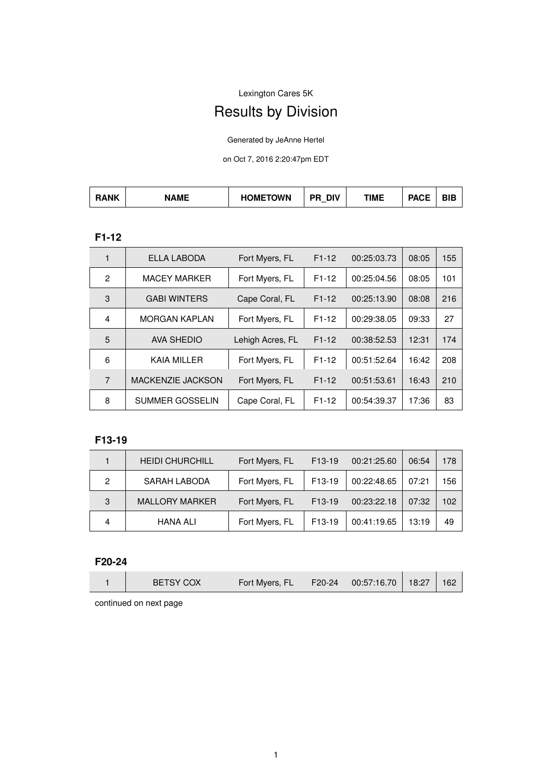Lexington Cares 5K

# Results by Division

Generated by JeAnne Hertel

on Oct 7, 2016 2:20:47pm EDT

| <b>RANK</b> | <b>AMF</b> | <b>HOMETOWN</b> | <b>DIV</b><br>$\overline{\phantom{0}}$ | TIME | <b>DAOF</b><br>AUE | חומ<br>DІC |
|-------------|------------|-----------------|----------------------------------------|------|--------------------|------------|
|-------------|------------|-----------------|----------------------------------------|------|--------------------|------------|

## **F1-12**

| 1              | ELLA LABODA            | Fort Myers, FL   | $F1-12$ | 00:25:03.73 | 08:05 | 155 |
|----------------|------------------------|------------------|---------|-------------|-------|-----|
| $\mathfrak{p}$ | <b>MACEY MARKER</b>    | Fort Myers, FL   | $F1-12$ | 00:25:04.56 | 08:05 | 101 |
| 3              | <b>GABI WINTERS</b>    | Cape Coral, FL   | $F1-12$ | 00:25:13.90 | 08:08 | 216 |
| $\overline{4}$ | <b>MORGAN KAPLAN</b>   | Fort Myers, FL   | $F1-12$ | 00:29:38.05 | 09:33 | 27  |
| 5              | AVA SHEDIO             | Lehigh Acres, FL | $F1-12$ | 00:38:52.53 | 12:31 | 174 |
| 6              | <b>KAIA MILLER</b>     | Fort Myers, FL   | $F1-12$ | 00:51:52.64 | 16:42 | 208 |
| $\overline{7}$ | MACKENZIE JACKSON      | Fort Myers, FL   | $F1-12$ | 00:51:53.61 | 16:43 | 210 |
| 8              | <b>SUMMER GOSSELIN</b> | Cape Coral, FL   | $F1-12$ | 00:54:39.37 | 17:36 | 83  |

## **F13-19**

|   | <b>HEIDI CHURCHILL</b> | Fort Myers, FL | F <sub>13</sub> -19 | 00:21:25.60 | 06:54 | 178 |
|---|------------------------|----------------|---------------------|-------------|-------|-----|
| 2 | SARAH LABODA           | Fort Myers, FL | F <sub>13</sub> -19 | 00:22:48.65 | 07:21 | 156 |
| 3 | <b>MALLORY MARKER</b>  | Fort Myers, FL | F <sub>13</sub> -19 | 00:23:22.18 | 07:32 | 102 |
|   | <b>HANA ALI</b>        | Fort Myers, FL | F <sub>13</sub> -19 | 00:41:19.65 | 13:19 | 49  |

#### **F20-24**

| Fort Myers, FL<br><b>BETSY COX</b><br>$\mid$ 00:57:16.70 $\mid$<br>18:27<br>162<br>$F20-24$ |
|---------------------------------------------------------------------------------------------|
|---------------------------------------------------------------------------------------------|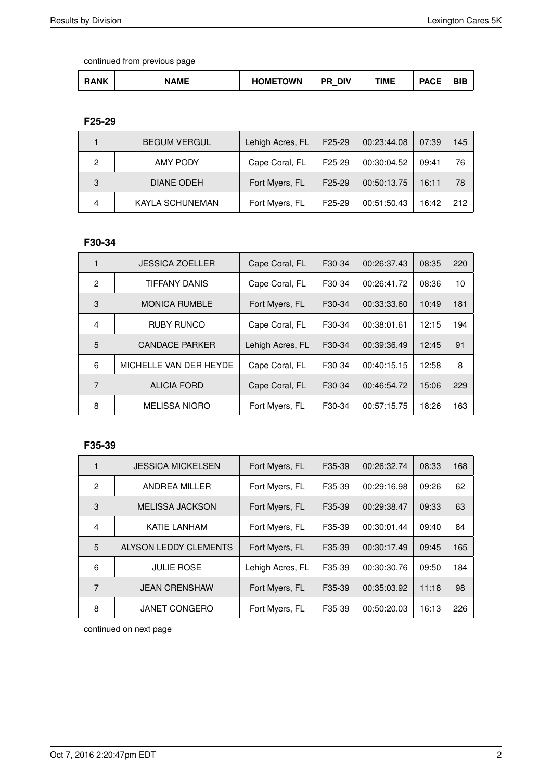| <b>RANK</b><br><b>DIP</b><br>- - -<br><b>NAME</b><br>. <del>. .</del><br>TIME<br><b>DIV</b><br>DЕ<br>')WN<br>)MH<br>.<br>DIC<br>$\overline{\phantom{0}}$ |
|----------------------------------------------------------------------------------------------------------------------------------------------------------|
|----------------------------------------------------------------------------------------------------------------------------------------------------------|

**F25-29**

|   | <b>BEGUM VERGUL</b> | Lehigh Acres, FL | F <sub>25</sub> -29 | 00:23:44.08 | 07:39 | 145 |
|---|---------------------|------------------|---------------------|-------------|-------|-----|
| 2 | <b>AMY PODY</b>     | Cape Coral, FL   | F <sub>25</sub> -29 | 00:30:04.52 | 09:41 | 76  |
| 3 | DIANE ODEH          | Fort Myers, FL   | F <sub>25</sub> -29 | 00:50:13.75 | 16:11 | 78  |
| 4 | KAYLA SCHUNEMAN     | Fort Myers, FL   | F <sub>25</sub> -29 | 00:51:50.43 | 16:42 | 212 |

#### **F30-34**

|                | <b>JESSICA ZOELLER</b> | Cape Coral, FL   | F30-34              | 00:26:37.43 | 08:35 | 220 |
|----------------|------------------------|------------------|---------------------|-------------|-------|-----|
| $\mathcal{P}$  | TIFFANY DANIS          | Cape Coral, FL   | F30-34              | 00:26:41.72 | 08:36 | 10  |
| 3              | <b>MONICA RUMBLE</b>   | Fort Myers, FL   | F30-34              | 00:33:33.60 | 10:49 | 181 |
| $\overline{4}$ | <b>RUBY RUNCO</b>      | Cape Coral, FL   | F30-34              | 00:38:01.61 | 12:15 | 194 |
| 5              | <b>CANDACE PARKER</b>  | Lehigh Acres, FL | F30-34              | 00:39:36.49 | 12:45 | 91  |
| 6              | MICHELLE VAN DER HEYDE | Cape Coral, FL   | F30-34              | 00:40:15.15 | 12:58 | 8   |
| 7              | <b>ALICIA FORD</b>     | Cape Coral, FL   | F <sub>30</sub> -34 | 00:46:54.72 | 15:06 | 229 |
| 8              | <b>MELISSA NIGRO</b>   | Fort Myers, FL   | F30-34              | 00:57:15.75 | 18:26 | 163 |

## **F35-39**

|                | <b>JESSICA MICKELSEN</b>     | Fort Myers, FL   | F35-39              | 00:26:32.74 | 08:33 | 168 |
|----------------|------------------------------|------------------|---------------------|-------------|-------|-----|
| $\mathcal{P}$  | ANDREA MILLER                | Fort Myers, FL   | F35-39              | 00:29:16.98 | 09:26 | 62  |
| 3              | <b>MELISSA JACKSON</b>       | Fort Myers, FL   | F35-39              | 00:29:38.47 | 09:33 | 63  |
| $\overline{4}$ | <b>KATIE LANHAM</b>          | Fort Myers, FL   | F <sub>35</sub> -39 | 00:30:01.44 | 09:40 | 84  |
| 5              | <b>ALYSON LEDDY CLEMENTS</b> | Fort Myers, FL   | F35-39              | 00:30:17.49 | 09:45 | 165 |
| 6              | <b>JULIE ROSE</b>            | Lehigh Acres, FL | F <sub>35</sub> -39 | 00:30:30.76 | 09:50 | 184 |
| 7              | <b>JEAN CRENSHAW</b>         | Fort Myers, FL   | F35-39              | 00:35:03.92 | 11:18 | 98  |
| 8              | <b>JANET CONGERO</b>         | Fort Myers, FL   | F35-39              | 00:50:20.03 | 16:13 | 226 |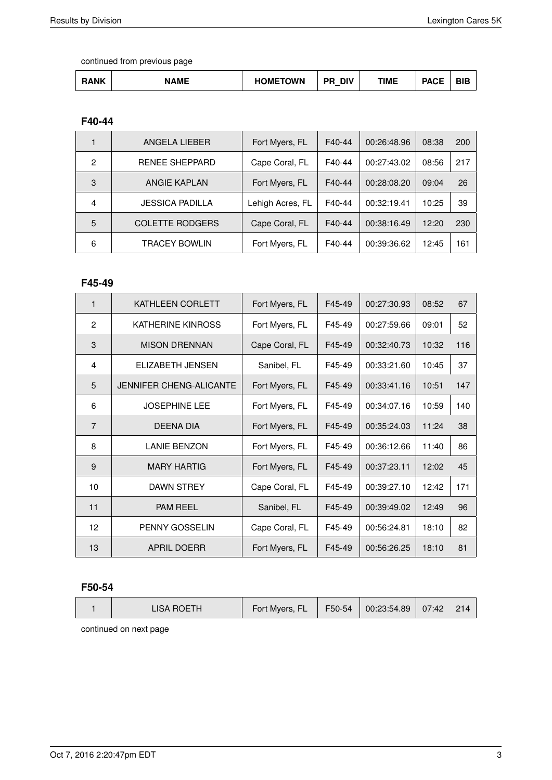| <b>NAME</b><br><b>HOMETOWN</b><br><b>DACE</b><br><b>DU</b><br><b>RANK</b><br>TIME<br>DIV<br>DIE<br><b>AVL</b> |
|---------------------------------------------------------------------------------------------------------------|
|---------------------------------------------------------------------------------------------------------------|

#### **F40-44**

|   | ANGELA LIEBER          | Fort Myers, FL   | F40-44 | 00:26:48.96 | 08:38 | 200 |
|---|------------------------|------------------|--------|-------------|-------|-----|
| 2 | RENEE SHEPPARD         | Cape Coral, FL   | F40-44 | 00:27:43.02 | 08:56 | 217 |
| 3 | <b>ANGIE KAPLAN</b>    | Fort Myers, FL   | F40-44 | 00:28:08.20 | 09:04 | 26  |
| 4 | <b>JESSICA PADILLA</b> | Lehigh Acres, FL | F40-44 | 00:32:19.41 | 10:25 | 39  |
| 5 | <b>COLETTE RODGERS</b> | Cape Coral, FL   | F40-44 | 00:38:16.49 | 12:20 | 230 |
| 6 | TRACEY BOWLIN          | Fort Myers, FL   | F40-44 | 00:39:36.62 | 12:45 | 161 |

#### **F45-49**

| 1              | <b>KATHLEEN CORLETT</b>        | Fort Myers, FL | F45-49 | 00:27:30.93 | 08:52 | 67  |
|----------------|--------------------------------|----------------|--------|-------------|-------|-----|
| $\overline{2}$ | <b>KATHERINE KINROSS</b>       | Fort Myers, FL | F45-49 | 00:27:59.66 | 09:01 | 52  |
| 3              | <b>MISON DRENNAN</b>           | Cape Coral, FL | F45-49 | 00:32:40.73 | 10:32 | 116 |
| 4              | ELIZABETH JENSEN               | Sanibel, FL    | F45-49 | 00:33:21.60 | 10:45 | 37  |
| 5              | <b>JENNIFER CHENG-ALICANTE</b> | Fort Myers, FL | F45-49 | 00:33:41.16 | 10:51 | 147 |
| 6              | <b>JOSEPHINE LEE</b>           | Fort Myers, FL | F45-49 | 00:34:07.16 | 10:59 | 140 |
| $\overline{7}$ | <b>DEENA DIA</b>               | Fort Myers, FL | F45-49 | 00:35:24.03 | 11:24 | 38  |
| 8              | <b>LANIE BENZON</b>            | Fort Myers, FL | F45-49 | 00:36:12.66 | 11:40 | 86  |
| 9              | <b>MARY HARTIG</b>             | Fort Myers, FL | F45-49 | 00:37:23.11 | 12:02 | 45  |
| 10             | DAWN STREY                     | Cape Coral, FL | F45-49 | 00:39:27.10 | 12:42 | 171 |
| 11             | <b>PAM REEL</b>                | Sanibel, FL    | F45-49 | 00:39:49.02 | 12:49 | 96  |
| 12             | PENNY GOSSELIN                 | Cape Coral, FL | F45-49 | 00:56:24.81 | 18:10 | 82  |
| 13             | <b>APRIL DOERR</b>             | Fort Myers, FL | F45-49 | 00:56:26.25 | 18:10 | 81  |

# **F50-54**

| LISA ROETH | Fort Myers, FL | $F50-54$ | 00:23:54.89 | 07:42 |  |
|------------|----------------|----------|-------------|-------|--|
|            |                |          |             |       |  |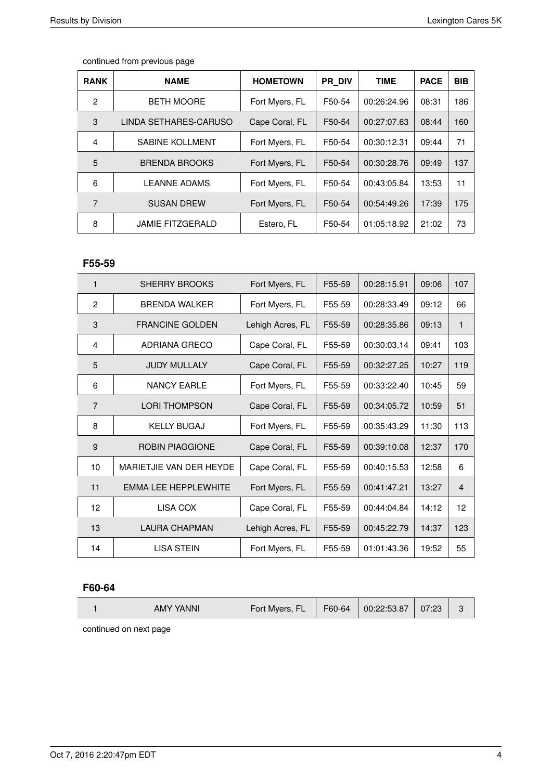| <b>RANK</b>    | <b>NAME</b>             | <b>HOMETOWN</b> | <b>PR DIV</b> | <b>TIME</b> | <b>PACE</b> | <b>BIB</b> |
|----------------|-------------------------|-----------------|---------------|-------------|-------------|------------|
| $\overline{2}$ | <b>BETH MOORE</b>       | Fort Myers, FL  | F50-54        | 00:26:24.96 | 08:31       | 186        |
| 3              | LINDA SETHARES-CARUSO   | Cape Coral, FL  | F50-54        | 00:27:07.63 | 08:44       | 160        |
| 4              | <b>SABINE KOLLMENT</b>  | Fort Myers, FL  | F50-54        | 00:30:12.31 | 09:44       | 71         |
| 5              | <b>BRENDA BROOKS</b>    | Fort Myers, FL  | F50-54        | 00:30:28.76 | 09:49       | 137        |
| 6              | <b>LEANNE ADAMS</b>     | Fort Myers, FL  | F50-54        | 00:43:05.84 | 13:53       | 11         |
| 7              | <b>SUSAN DREW</b>       | Fort Myers, FL  | F50-54        | 00:54:49.26 | 17:39       | 175        |
| 8              | <b>JAMIE FITZGERALD</b> | Estero, FL      | F50-54        | 01:05:18.92 | 21:02       | 73         |

#### **F55-59**

| $\mathbf{1}$   | <b>SHERRY BROOKS</b>        | Fort Myers, FL   | F55-59 | 00:28:15.91 | 09:06 | 107            |
|----------------|-----------------------------|------------------|--------|-------------|-------|----------------|
| $\overline{2}$ | <b>BRENDA WALKER</b>        | Fort Myers, FL   | F55-59 | 00:28:33.49 | 09:12 | 66             |
| 3              | <b>FRANCINE GOLDEN</b>      | Lehigh Acres, FL | F55-59 | 00:28:35.86 | 09:13 | 1              |
| 4              | ADRIANA GRECO               | Cape Coral, FL   | F55-59 | 00:30:03.14 | 09:41 | 103            |
| 5              | <b>JUDY MULLALY</b>         | Cape Coral, FL   | F55-59 | 00:32:27.25 | 10:27 | 119            |
| 6              | <b>NANCY EARLE</b>          | Fort Myers, FL   | F55-59 | 00:33:22.40 | 10:45 | 59             |
| $\overline{7}$ | <b>LORI THOMPSON</b>        | Cape Coral, FL   | F55-59 | 00:34:05.72 | 10:59 | 51             |
| 8              | <b>KELLY BUGAJ</b>          | Fort Myers, FL   | F55-59 | 00:35:43.29 | 11:30 | 113            |
| 9              | <b>ROBIN PIAGGIONE</b>      | Cape Coral, FL   | F55-59 | 00:39:10.08 | 12:37 | 170            |
| 10             | MARIETJIE VAN DER HEYDE     | Cape Coral, FL   | F55-59 | 00:40:15.53 | 12:58 | 6              |
| 11             | <b>EMMA LEE HEPPLEWHITE</b> | Fort Myers, FL   | F55-59 | 00:41:47.21 | 13:27 | $\overline{4}$ |
| 12             | LISA COX                    | Cape Coral, FL   | F55-59 | 00:44:04.84 | 14:12 | 12             |
| 13             | <b>LAURA CHAPMAN</b>        | Lehigh Acres, FL | F55-59 | 00:45:22.79 | 14:37 | 123            |
| 14             | <b>LISA STEIN</b>           | Fort Myers, FL   | F55-59 | 01:01:43.36 | 19:52 | 55             |

#### **F60-64**

| AMY YANNI | Fort Myers, FL | F60-64 | 00:22:53.87 | 07:23 | L. |
|-----------|----------------|--------|-------------|-------|----|
|           |                |        |             |       |    |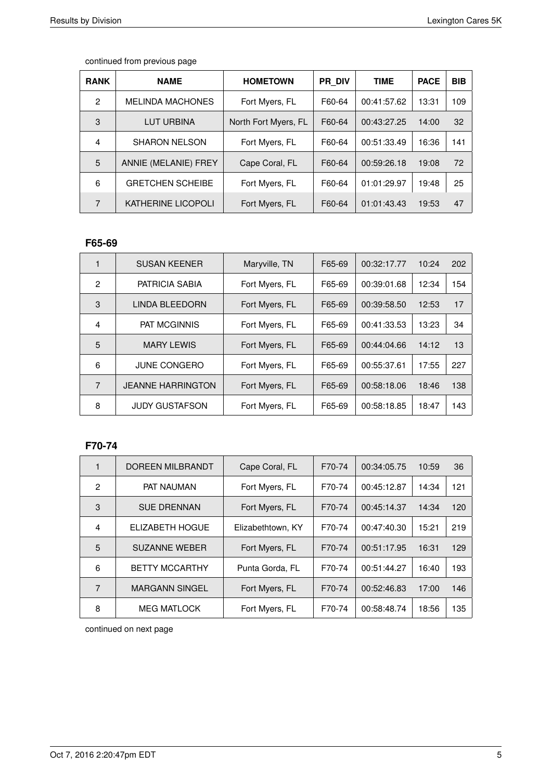| <b>RANK</b> | <b>NAME</b>               | <b>HOMETOWN</b>      | PR DIV | <b>TIME</b> | <b>PACE</b> | <b>BIB</b> |
|-------------|---------------------------|----------------------|--------|-------------|-------------|------------|
| 2           | <b>MELINDA MACHONES</b>   | Fort Myers, FL       | F60-64 | 00:41:57.62 | 13:31       | 109        |
| 3           | LUT URBINA                | North Fort Myers, FL | F60-64 | 00:43:27.25 | 14:00       | 32         |
| 4           | <b>SHARON NELSON</b>      | Fort Myers, FL       | F60-64 | 00:51:33.49 | 16:36       | 141        |
| 5           | ANNIE (MELANIE) FREY      | Cape Coral, FL       | F60-64 | 00:59:26.18 | 19:08       | 72         |
| 6           | <b>GRETCHEN SCHEIBE</b>   | Fort Myers, FL       | F60-64 | 01:01:29.97 | 19:48       | 25         |
| 7           | <b>KATHERINE LICOPOLI</b> | Fort Myers, FL       | F60-64 | 01:01:43.43 | 19:53       | 47         |

### **F65-69**

|                | <b>SUSAN KEENER</b>      | Maryville, TN  | F65-69 | 00:32:17.77 | 10:24 | 202 |
|----------------|--------------------------|----------------|--------|-------------|-------|-----|
| $\mathfrak{p}$ | PATRICIA SABIA           | Fort Myers, FL | F65-69 | 00:39:01.68 | 12:34 | 154 |
| 3              | LINDA BLEEDORN           | Fort Myers, FL | F65-69 | 00:39:58.50 | 12:53 | 17  |
| 4              | <b>PAT MCGINNIS</b>      | Fort Myers, FL | F65-69 | 00:41:33.53 | 13:23 | 34  |
| 5              | <b>MARY LEWIS</b>        | Fort Myers, FL | F65-69 | 00:44:04.66 | 14:12 | 13  |
| 6              | <b>JUNE CONGERO</b>      | Fort Myers, FL | F65-69 | 00:55:37.61 | 17:55 | 227 |
| 7              | <b>JEANNE HARRINGTON</b> | Fort Myers, FL | F65-69 | 00:58:18.06 | 18:46 | 138 |
| 8              | <b>JUDY GUSTAFSON</b>    | Fort Myers, FL | F65-69 | 00:58:18.85 | 18:47 | 143 |

## **F70-74**

| 1              | <b>DOREEN MILBRANDT</b> | Cape Coral, FL    | F70-74 | 00:34:05.75 | 10:59 | 36  |
|----------------|-------------------------|-------------------|--------|-------------|-------|-----|
| $\overline{2}$ | <b>PAT NAUMAN</b>       | Fort Myers, FL    | F70-74 | 00:45:12.87 | 14:34 | 121 |
| 3              | <b>SUE DRENNAN</b>      | Fort Myers, FL    | F70-74 | 00:45:14.37 | 14:34 | 120 |
| 4              | ELIZABETH HOGUE         | Elizabethtown, KY | F70-74 | 00:47:40.30 | 15:21 | 219 |
| 5              | <b>SUZANNE WEBER</b>    | Fort Myers, FL    | F70-74 | 00:51:17.95 | 16:31 | 129 |
| 6              | <b>BETTY MCCARTHY</b>   | Punta Gorda, FL   | F70-74 | 00:51:44.27 | 16:40 | 193 |
| 7              | <b>MARGANN SINGEL</b>   | Fort Myers, FL    | F70-74 | 00:52:46.83 | 17:00 | 146 |
| 8              | <b>MEG MATLOCK</b>      | Fort Myers, FL    | F70-74 | 00:58:48.74 | 18:56 | 135 |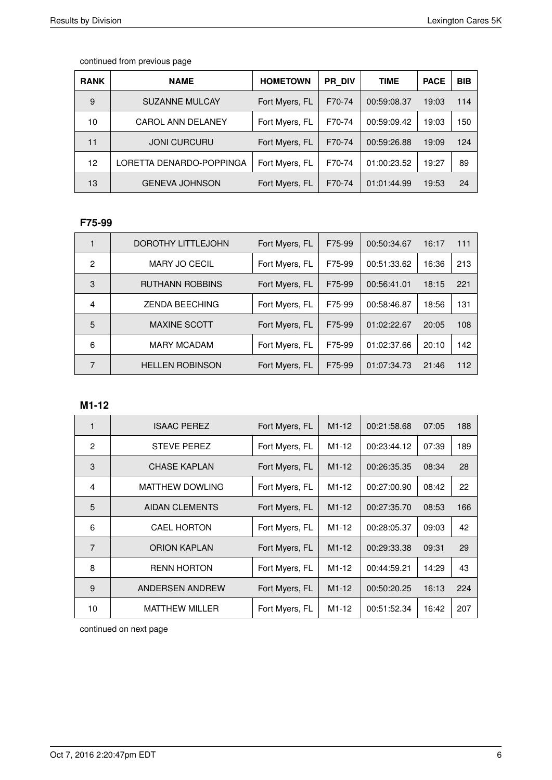| <b>RANK</b> | <b>NAME</b>              | <b>HOMETOWN</b> | PR DIV | TIME        | <b>PACE</b> | <b>BIB</b> |
|-------------|--------------------------|-----------------|--------|-------------|-------------|------------|
| 9           | <b>SUZANNE MULCAY</b>    | Fort Myers, FL  | F70-74 | 00:59:08.37 | 19:03       | 114        |
| 10          | <b>CAROL ANN DELANEY</b> | Fort Myers, FL  | F70-74 | 00:59:09.42 | 19:03       | 150        |
| 11          | <b>JONI CURCURU</b>      | Fort Myers, FL  | F70-74 | 00:59:26.88 | 19:09       | 124        |
| 12          | LORETTA DENARDO-POPPINGA | Fort Myers, FL  | F70-74 | 01:00:23.52 | 19:27       | 89         |
| 13          | <b>GENEVA JOHNSON</b>    | Fort Myers, FL  | F70-74 | 01:01:44.99 | 19:53       | 24         |

### **F75-99**

|   | <b>DOROTHY LITTLEJOHN</b> | Fort Myers, FL | F75-99 | 00:50:34.67 | 16:17 | 111 |
|---|---------------------------|----------------|--------|-------------|-------|-----|
| 2 | <b>MARY JO CECIL</b>      | Fort Myers, FL | F75-99 | 00:51:33.62 | 16:36 | 213 |
| 3 | <b>RUTHANN ROBBINS</b>    | Fort Myers, FL | F75-99 | 00:56:41.01 | 18:15 | 221 |
| 4 | <b>ZENDA BEECHING</b>     | Fort Myers, FL | F75-99 | 00:58:46.87 | 18:56 | 131 |
| 5 | <b>MAXINE SCOTT</b>       | Fort Myers, FL | F75-99 | 01:02:22.67 | 20:05 | 108 |
| 6 | <b>MARY MCADAM</b>        | Fort Myers, FL | F75-99 | 01:02:37.66 | 20:10 | 142 |
| 7 | <b>HELLEN ROBINSON</b>    | Fort Myers, FL | F75-99 | 01:07:34.73 | 21:46 | 112 |

# **M1-12**

| 1              | <b>ISAAC PEREZ</b>     | Fort Myers, FL | $M1-12$            | 00:21:58.68 | 07:05 | 188 |
|----------------|------------------------|----------------|--------------------|-------------|-------|-----|
| $\overline{2}$ | <b>STEVE PEREZ</b>     | Fort Myers, FL | M <sub>1</sub> -12 | 00:23:44.12 | 07:39 | 189 |
| 3              | <b>CHASE KAPLAN</b>    | Fort Myers, FL | $M1-12$            | 00:26:35.35 | 08:34 | 28  |
| $\overline{4}$ | <b>MATTHEW DOWLING</b> | Fort Myers, FL | M <sub>1</sub> -12 | 00:27:00.90 | 08:42 | 22  |
| 5              | <b>AIDAN CLEMENTS</b>  | Fort Myers, FL | $M1-12$            | 00:27:35.70 | 08:53 | 166 |
| 6              | <b>CAEL HORTON</b>     | Fort Myers, FL | M <sub>1</sub> -12 | 00:28:05.37 | 09:03 | 42  |
| $\overline{7}$ | <b>ORION KAPLAN</b>    | Fort Myers, FL | $M1-12$            | 00:29:33.38 | 09:31 | 29  |
| 8              | <b>RENN HORTON</b>     | Fort Myers, FL | $M1-12$            | 00:44:59.21 | 14:29 | 43  |
| 9              | ANDERSEN ANDREW        | Fort Myers, FL | $M1-12$            | 00:50:20.25 | 16:13 | 224 |
| 10             | <b>MATTHEW MILLER</b>  | Fort Myers, FL | $M1-12$            | 00:51:52.34 | 16:42 | 207 |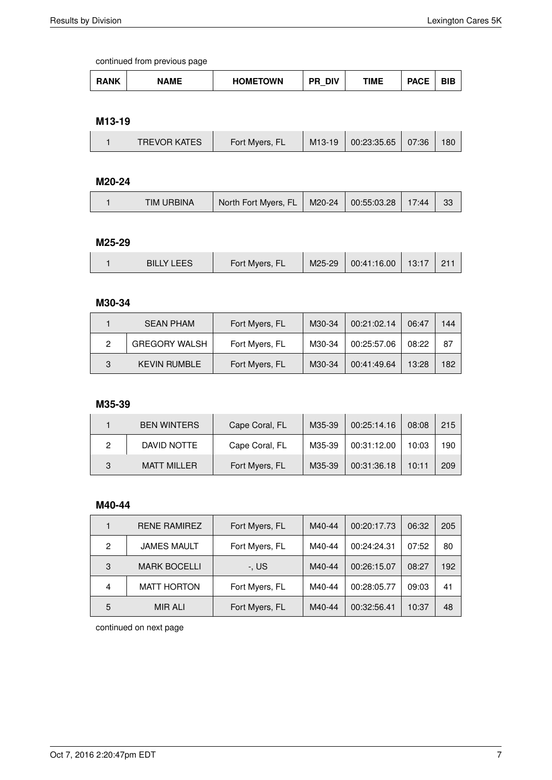| <b>HOMETOWN</b><br><b>RANK</b><br><b>DIV</b><br>TIME<br><b>NAME</b><br><b>PACE</b><br>DU.<br>DЕ<br>DID<br>$\overline{\phantom{a}}$ |
|------------------------------------------------------------------------------------------------------------------------------------|
|------------------------------------------------------------------------------------------------------------------------------------|

#### **M13-19**

|  | <b>TREVOR KATES</b> | Fort Myers, FL | M <sub>13</sub> -19 | 00:23:35.65 | 07:36 | 180 |
|--|---------------------|----------------|---------------------|-------------|-------|-----|
|--|---------------------|----------------|---------------------|-------------|-------|-----|

### **M20-24**

|  | <b>TIM URBINA</b> | North Fort Myers, FL |  | $\parallel$ M20-24 $\parallel$ 00:55:03.28   17:44 |  | 33 |
|--|-------------------|----------------------|--|----------------------------------------------------|--|----|
|--|-------------------|----------------------|--|----------------------------------------------------|--|----|

#### **M25-29**

#### **M30-34**

|   | <b>SEAN PHAM</b>     | Fort Myers, FL | M30-34 | 00:21:02.14 | 06:47 | 144 |
|---|----------------------|----------------|--------|-------------|-------|-----|
| 2 | <b>GREGORY WALSH</b> | Fort Myers, FL | M30-34 | 00:25:57.06 | 08:22 | 87  |
| 3 | <b>KEVIN RUMBLE</b>  | Fort Myers, FL | M30-34 | 00:41:49.64 | 13:28 | 182 |

### **M35-39**

|   | <b>BEN WINTERS</b> | Cape Coral, FL | M35-39 | 00:25:14.16 | 08:08 | 215 |
|---|--------------------|----------------|--------|-------------|-------|-----|
|   | DAVID NOTTE        | Cape Coral, FL | M35-39 | 00:31:12.00 | 10:03 | 190 |
| 3 | MATT MILLER        | Fort Myers, FL | M35-39 | 00:31:36.18 | 10:11 | 209 |

#### **M40-44**

|   | <b>RENE RAMIREZ</b> | Fort Myers, FL | M40-44 | 00:20:17.73 | 06:32 | 205 |
|---|---------------------|----------------|--------|-------------|-------|-----|
| 2 | <b>JAMES MAULT</b>  | Fort Myers, FL | M40-44 | 00:24:24.31 | 07:52 | 80  |
| 3 | <b>MARK BOCELLI</b> | -. US          | M40-44 | 00:26:15.07 | 08:27 | 192 |
| 4 | <b>MATT HORTON</b>  | Fort Myers, FL | M40-44 | 00:28:05.77 | 09:03 | 41  |
| 5 | <b>MIR ALI</b>      | Fort Myers, FL | M40-44 | 00:32:56.41 | 10:37 | 48  |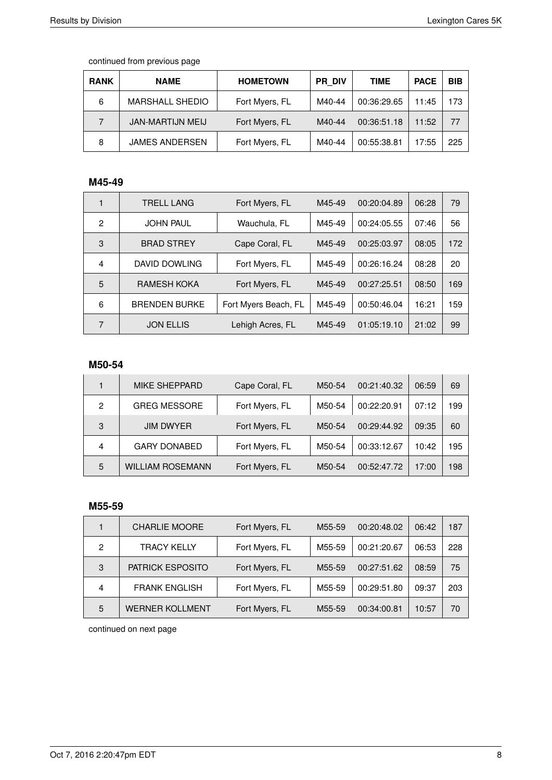| <b>RANK</b> | <b>NAME</b>             | <b>HOMETOWN</b> | <b>PR DIV</b> | TIME        | <b>PACE</b> | <b>BIB</b> |
|-------------|-------------------------|-----------------|---------------|-------------|-------------|------------|
| 6           | <b>MARSHALL SHEDIO</b>  | Fort Myers, FL  | M40-44        | 00:36:29.65 | 11:45       | 173        |
|             | <b>JAN-MARTIJN MEIJ</b> | Fort Myers, FL  | M40-44        | 00:36:51.18 | 11:52       | 77         |
| 8           | <b>JAMES ANDERSEN</b>   | Fort Myers, FL  | M40-44        | 00:55:38.81 | 17:55       | 225        |

# **M45-49**

|                | <b>TRELL LANG</b>    | Fort Myers, FL       | M45-49 | 00:20:04.89 | 06:28 | 79  |
|----------------|----------------------|----------------------|--------|-------------|-------|-----|
| $\mathfrak{p}$ | <b>JOHN PAUL</b>     | Wauchula, FL         | M45-49 | 00:24:05.55 | 07:46 | 56  |
| 3              | <b>BRAD STREY</b>    | Cape Coral, FL       | M45-49 | 00:25:03.97 | 08:05 | 172 |
| 4              | DAVID DOWLING        | Fort Myers, FL       | M45-49 | 00:26:16.24 | 08:28 | 20  |
| 5              | RAMESH KOKA          | Fort Myers, FL       | M45-49 | 00:27:25.51 | 08:50 | 169 |
| 6              | <b>BRENDEN BURKE</b> | Fort Myers Beach, FL | M45-49 | 00:50:46.04 | 16:21 | 159 |
| 7              | <b>JON ELLIS</b>     | Lehigh Acres, FL     | M45-49 | 01:05:19.10 | 21:02 | 99  |

#### **M50-54**

|   | <b>MIKE SHEPPARD</b>    | Cape Coral, FL | M50-54 | 00:21:40.32 | 06:59 | 69  |
|---|-------------------------|----------------|--------|-------------|-------|-----|
| 2 | <b>GREG MESSORE</b>     | Fort Myers, FL | M50-54 | 00:22:20.91 | 07:12 | 199 |
| 3 | <b>JIM DWYER</b>        | Fort Myers, FL | M50-54 | 00:29:44.92 | 09:35 | 60  |
| 4 | <b>GARY DONABED</b>     | Fort Myers, FL | M50-54 | 00:33:12.67 | 10:42 | 195 |
| 5 | <b>WILLIAM ROSEMANN</b> | Fort Myers, FL | M50-54 | 00:52:47.72 | 17:00 | 198 |

#### **M55-59**

|                | <b>CHARLIE MOORE</b>    | Fort Myers, FL | M55-59              | 00:20:48.02 | 06:42 | 187 |
|----------------|-------------------------|----------------|---------------------|-------------|-------|-----|
| $\overline{c}$ | <b>TRACY KELLY</b>      | Fort Myers, FL | M55-59              | 00:21:20.67 | 06:53 | 228 |
| 3              | <b>PATRICK ESPOSITO</b> | Fort Myers, FL | M <sub>55</sub> -59 | 00:27:51.62 | 08:59 | 75  |
| $\overline{4}$ | <b>FRANK ENGLISH</b>    | Fort Myers, FL | M55-59              | 00:29:51.80 | 09:37 | 203 |
| 5              | <b>WERNER KOLLMENT</b>  | Fort Myers, FL | M <sub>55</sub> -59 | 00:34:00.81 | 10:57 | 70  |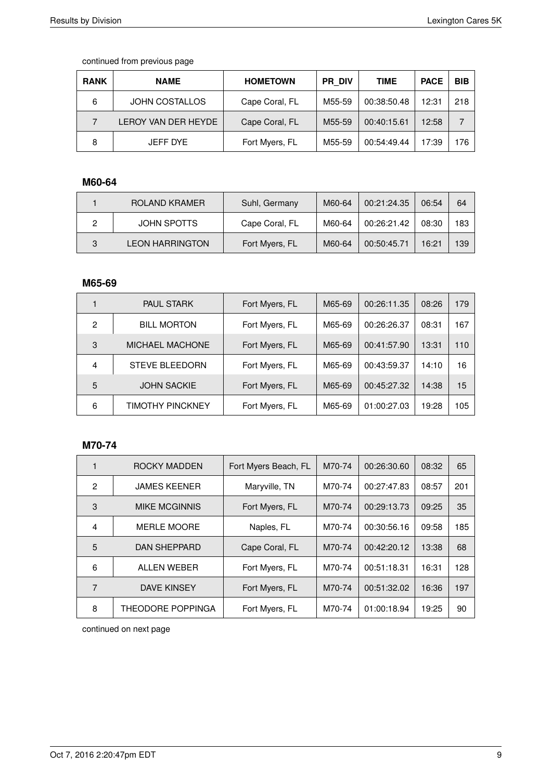| <b>RANK</b> | <b>NAME</b>           | <b>HOMETOWN</b> | <b>PR DIV</b> | <b>TIME</b> | <b>PACE</b> | <b>BIB</b> |
|-------------|-----------------------|-----------------|---------------|-------------|-------------|------------|
| 6           | <b>JOHN COSTALLOS</b> | Cape Coral, FL  | M55-59        | 00:38:50.48 | 12:31       | 218        |
|             | LEROY VAN DER HEYDE   | Cape Coral, FL  | M55-59        | 00:40:15.61 | 12:58       |            |
| 8           | JEFF DYE              | Fort Myers, FL  | M55-59        | 00:54:49.44 | 17:39       | 176        |

# **M60-64**

|   | ROLAND KRAMER          | Suhl, Germany  | M60-64 | 00:21:24.35 | 06:54 | 64  |
|---|------------------------|----------------|--------|-------------|-------|-----|
|   | JOHN SPOTTS            | Cape Coral, FL | M60-64 | 00:26:21.42 | 08:30 | 183 |
| 3 | <b>LEON HARRINGTON</b> | Fort Myers, FL | M60-64 | 00:50:45.71 | 16:21 | 139 |

### **M65-69**

|   | <b>PAUL STARK</b>      | Fort Myers, FL | M65-69 | 00:26:11.35 | 08:26 | 179 |
|---|------------------------|----------------|--------|-------------|-------|-----|
| 2 | <b>BILL MORTON</b>     | Fort Myers, FL | M65-69 | 00:26:26.37 | 08:31 | 167 |
| 3 | <b>MICHAEL MACHONE</b> | Fort Myers, FL | M65-69 | 00:41:57.90 | 13:31 | 110 |
| 4 | <b>STEVE BLEEDORN</b>  | Fort Myers, FL | M65-69 | 00:43:59.37 | 14:10 | 16  |
| 5 | <b>JOHN SACKIE</b>     | Fort Myers, FL | M65-69 | 00:45:27.32 | 14:38 | 15  |
| 6 | TIMOTHY PINCKNEY       | Fort Myers, FL | M65-69 | 01:00:27.03 | 19:28 | 105 |

## **M70-74**

|   | ROCKY MADDEN             | Fort Myers Beach, FL | M70-74 | 00:26:30.60 | 08:32 | 65  |
|---|--------------------------|----------------------|--------|-------------|-------|-----|
| 2 | <b>JAMES KEENER</b>      | Maryville, TN        | M70-74 | 00:27:47.83 | 08:57 | 201 |
| 3 | <b>MIKE MCGINNIS</b>     | Fort Myers, FL       | M70-74 | 00:29:13.73 | 09:25 | 35  |
| 4 | <b>MERLE MOORE</b>       | Naples, FL           | M70-74 | 00:30:56.16 | 09:58 | 185 |
| 5 | <b>DAN SHEPPARD</b>      | Cape Coral, FL       | M70-74 | 00:42:20.12 | 13:38 | 68  |
| 6 | ALLEN WEBER              | Fort Myers, FL       | M70-74 | 00:51:18.31 | 16:31 | 128 |
| 7 | DAVE KINSEY              | Fort Myers, FL       | M70-74 | 00:51:32.02 | 16:36 | 197 |
| 8 | <b>THEODORE POPPINGA</b> | Fort Myers, FL       | M70-74 | 01:00:18.94 | 19:25 | 90  |